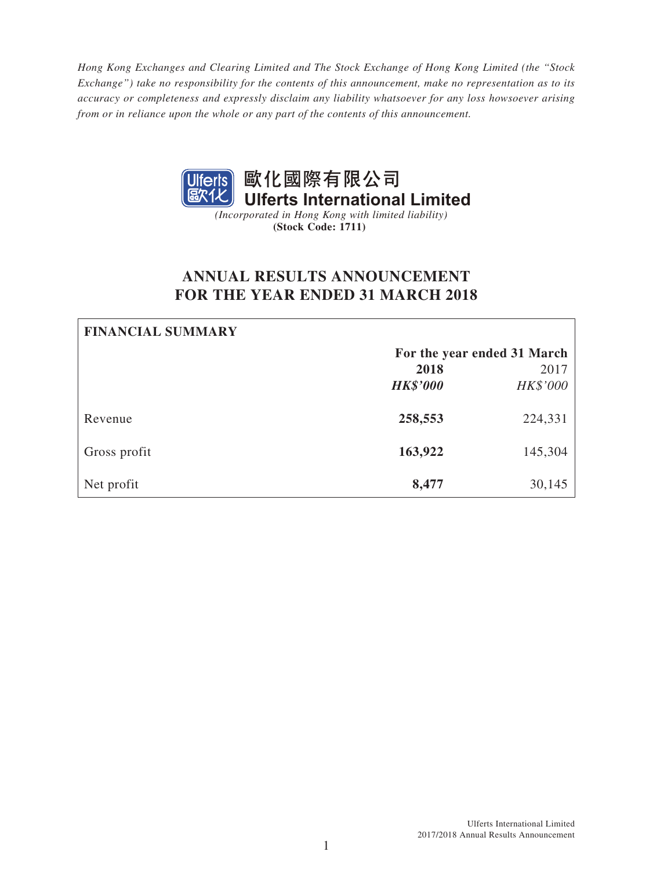*Hong Kong Exchanges and Clearing Limited and The Stock Exchange of Hong Kong Limited (the "Stock Exchange") take no responsibility for the contents of this announcement, make no representation as to its accuracy or completeness and expressly disclaim any liability whatsoever for any loss howsoever arising from or in reliance upon the whole or any part of the contents of this announcement.*



**(Stock Code: 1711)**

# **ANNUAL RESULTS ANNOUNCEMENT FOR THE YEAR ENDED 31 MARCH 2018**

| <b>FINANCIAL SUMMARY</b> |                 |                             |
|--------------------------|-----------------|-----------------------------|
|                          |                 | For the year ended 31 March |
|                          | 2018            | 2017                        |
|                          | <b>HK\$'000</b> | HK\$'000                    |
| Revenue                  | 258,553         | 224,331                     |
| Gross profit             | 163,922         | 145,304                     |
| Net profit               | 8,477           | 30,145                      |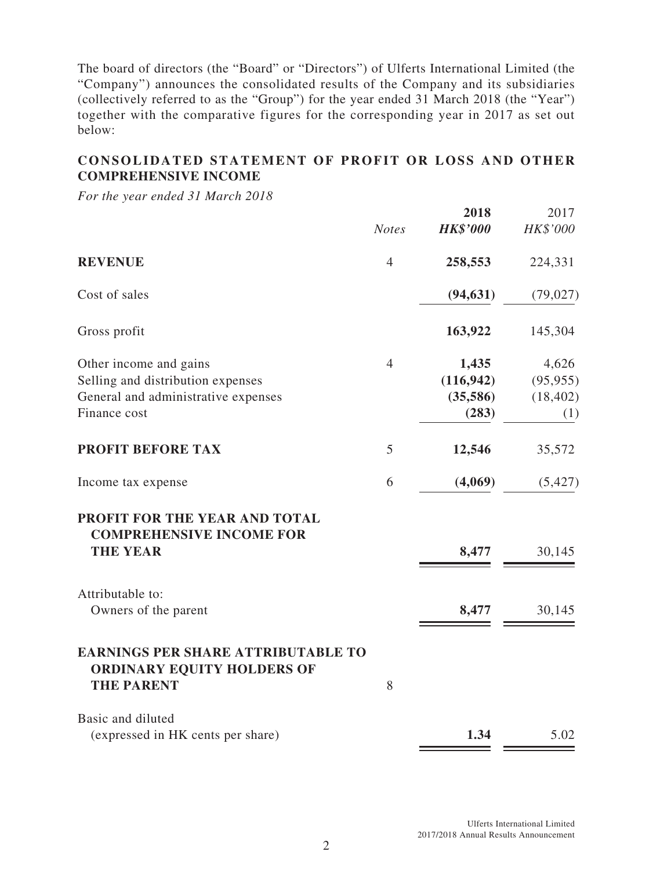The board of directors (the "Board" or "Directors") of Ulferts International Limited (the "Company") announces the consolidated results of the Company and its subsidiaries (collectively referred to as the "Group") for the year ended 31 March 2018 (the "Year") together with the comparative figures for the corresponding year in 2017 as set out below:

# **CONSOLIDATED STATEMENT OF PROFIT OR LOSS AND OTHER COMPREHENSIVE INCOME**

*For the year ended 31 March 2018*

|                                                                                                                    | <b>Notes</b>   | 2018<br><b>HK\$'000</b>                  | 2017<br>HK\$'000                       |
|--------------------------------------------------------------------------------------------------------------------|----------------|------------------------------------------|----------------------------------------|
| <b>REVENUE</b>                                                                                                     | $\overline{4}$ | 258,553                                  | 224,331                                |
| Cost of sales                                                                                                      |                | (94, 631)                                | (79, 027)                              |
| Gross profit                                                                                                       |                | 163,922                                  | 145,304                                |
| Other income and gains<br>Selling and distribution expenses<br>General and administrative expenses<br>Finance cost | $\overline{4}$ | 1,435<br>(116, 942)<br>(35,586)<br>(283) | 4,626<br>(95, 955)<br>(18, 402)<br>(1) |
| <b>PROFIT BEFORE TAX</b>                                                                                           | 5              | 12,546                                   | 35,572                                 |
| Income tax expense                                                                                                 | 6              | (4,069)                                  | (5, 427)                               |
| PROFIT FOR THE YEAR AND TOTAL<br><b>COMPREHENSIVE INCOME FOR</b><br><b>THE YEAR</b>                                |                | 8,477                                    | 30,145                                 |
| Attributable to:<br>Owners of the parent                                                                           |                | 8,477                                    | 30,145                                 |
| <b>EARNINGS PER SHARE ATTRIBUTABLE TO</b><br>ORDINARY EQUITY HOLDERS OF<br><b>THE PARENT</b>                       | 8              |                                          |                                        |
| Basic and diluted<br>(expressed in HK cents per share)                                                             |                | 1.34                                     | 5.02                                   |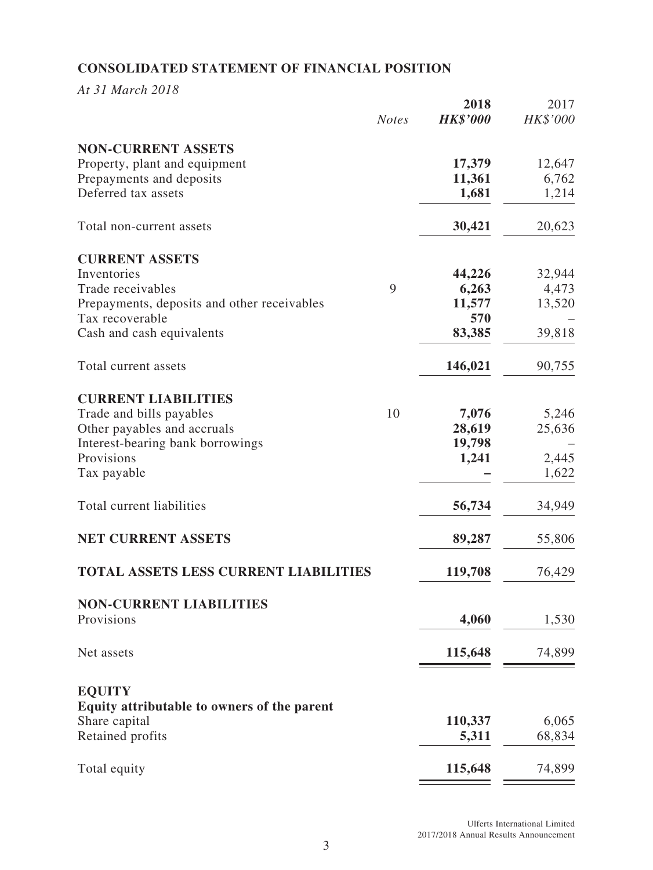# **CONSOLIDATED STATEMENT OF FINANCIAL POSITION**

*At 31 March 2018*

|                                                            | <b>Notes</b> | 2018<br><b>HK\$'000</b> | 2017<br>HK\$'000 |
|------------------------------------------------------------|--------------|-------------------------|------------------|
| <b>NON-CURRENT ASSETS</b><br>Property, plant and equipment |              | 17,379                  | 12,647           |
| Prepayments and deposits                                   |              | 11,361                  | 6,762            |
| Deferred tax assets                                        |              | 1,681                   | 1,214            |
| Total non-current assets                                   |              | 30,421                  | 20,623           |
| <b>CURRENT ASSETS</b>                                      |              |                         |                  |
| Inventories                                                |              | 44,226                  | 32,944           |
| Trade receivables                                          | 9            | 6,263                   | 4,473            |
| Prepayments, deposits and other receivables                |              | 11,577                  | 13,520           |
| Tax recoverable                                            |              | 570                     |                  |
| Cash and cash equivalents                                  |              | 83,385                  | 39,818           |
| Total current assets                                       |              | 146,021                 | 90,755           |
| <b>CURRENT LIABILITIES</b>                                 |              |                         |                  |
| Trade and bills payables                                   | 10           | 7,076                   | 5,246            |
| Other payables and accruals                                |              | 28,619                  | 25,636           |
| Interest-bearing bank borrowings                           |              | 19,798                  |                  |
| Provisions<br>Tax payable                                  |              | 1,241                   | 2,445<br>1,622   |
| Total current liabilities                                  |              | 56,734                  | 34,949           |
| <b>NET CURRENT ASSETS</b>                                  |              | 89,287                  | 55,806           |
| <b>TOTAL ASSETS LESS CURRENT LIABILITIES</b>               |              | 119,708                 | 76,429           |
| <b>NON-CURRENT LIABILITIES</b>                             |              |                         |                  |
| Provisions                                                 |              | 4,060                   | 1,530            |
| Net assets                                                 |              | 115,648                 | 74,899           |
| <b>EQUITY</b>                                              |              |                         |                  |
| Equity attributable to owners of the parent                |              |                         |                  |
| Share capital                                              |              | 110,337                 | 6,065            |
| Retained profits                                           |              | 5,311                   | 68,834           |
| Total equity                                               |              | 115,648                 | 74,899           |
|                                                            |              |                         |                  |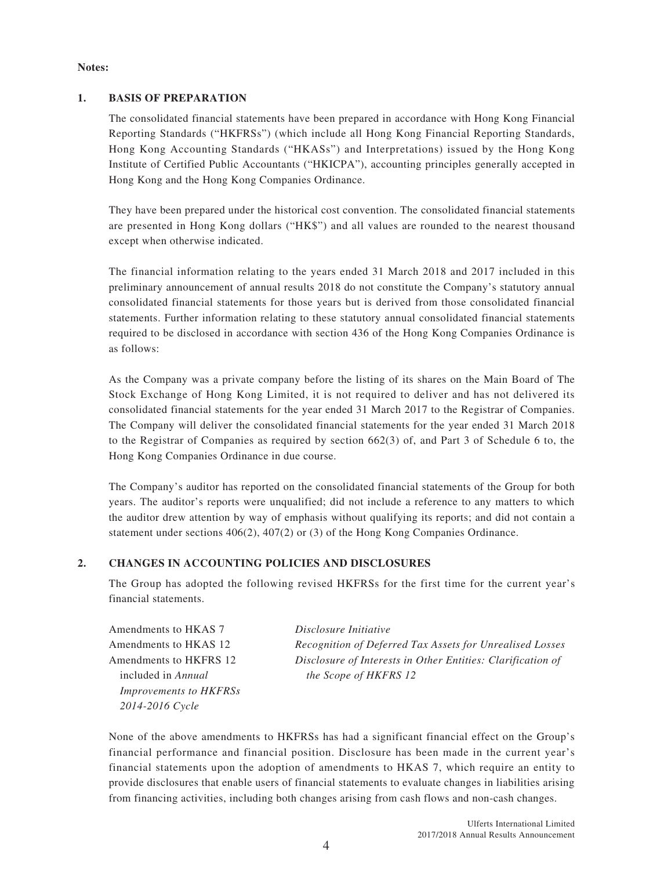#### **Notes:**

#### **1. BASIS OF PREPARATION**

The consolidated financial statements have been prepared in accordance with Hong Kong Financial Reporting Standards ("HKFRSs") (which include all Hong Kong Financial Reporting Standards, Hong Kong Accounting Standards ("HKASs") and Interpretations) issued by the Hong Kong Institute of Certified Public Accountants ("HKICPA"), accounting principles generally accepted in Hong Kong and the Hong Kong Companies Ordinance.

They have been prepared under the historical cost convention. The consolidated financial statements are presented in Hong Kong dollars ("HK\$") and all values are rounded to the nearest thousand except when otherwise indicated.

The financial information relating to the years ended 31 March 2018 and 2017 included in this preliminary announcement of annual results 2018 do not constitute the Company's statutory annual consolidated financial statements for those years but is derived from those consolidated financial statements. Further information relating to these statutory annual consolidated financial statements required to be disclosed in accordance with section 436 of the Hong Kong Companies Ordinance is as follows:

As the Company was a private company before the listing of its shares on the Main Board of The Stock Exchange of Hong Kong Limited, it is not required to deliver and has not delivered its consolidated financial statements for the year ended 31 March 2017 to the Registrar of Companies. The Company will deliver the consolidated financial statements for the year ended 31 March 2018 to the Registrar of Companies as required by section 662(3) of, and Part 3 of Schedule 6 to, the Hong Kong Companies Ordinance in due course.

The Company's auditor has reported on the consolidated financial statements of the Group for both years. The auditor's reports were unqualified; did not include a reference to any matters to which the auditor drew attention by way of emphasis without qualifying its reports; and did not contain a statement under sections 406(2), 407(2) or (3) of the Hong Kong Companies Ordinance.

#### **2. CHANGES IN ACCOUNTING POLICIES AND DISCLOSURES**

The Group has adopted the following revised HKFRSs for the first time for the current year's financial statements.

| Amendments to HKAS 7          |
|-------------------------------|
| Amendments to HKAS 12         |
| Amendments to HKFRS 12        |
| included in Annual            |
| <b>Improvements to HKFRSs</b> |
| 2014-2016 Cycle               |

 $Disclosure$  *Initiative* Recognition of Deferred Tax Assets for Unrealised Losses Disclosure of Interests in Other Entities: Clarification of *the Scope of HKFRS 12* 

None of the above amendments to HKFRSs has had a significant financial effect on the Group's financial performance and financial position. Disclosure has been made in the current year's financial statements upon the adoption of amendments to HKAS 7, which require an entity to provide disclosures that enable users of financial statements to evaluate changes in liabilities arising from financing activities, including both changes arising from cash flows and non-cash changes.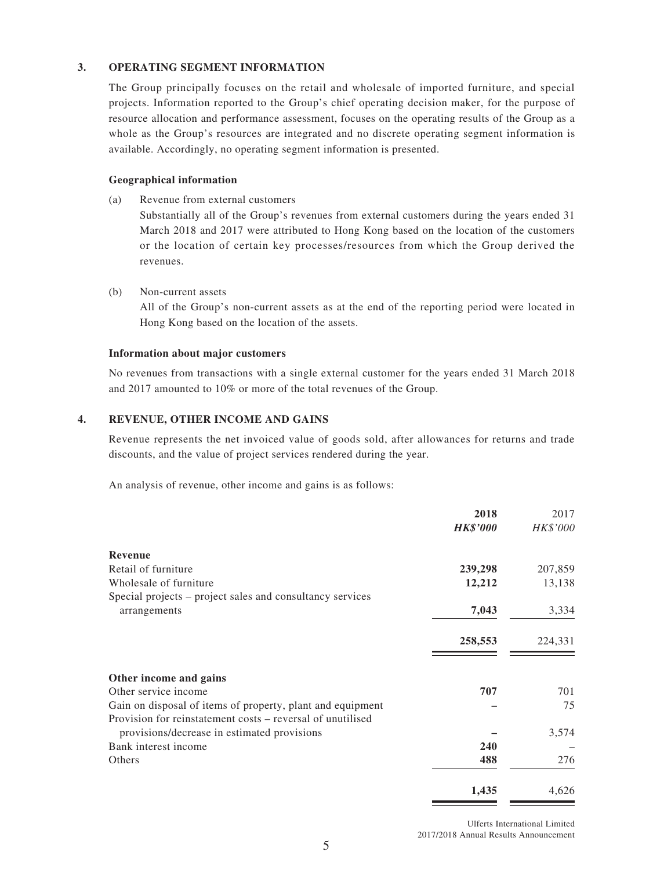#### **3. OPERATING SEGMENT INFORMATION**

The Group principally focuses on the retail and wholesale of imported furniture, and special projects. Information reported to the Group's chief operating decision maker, for the purpose of resource allocation and performance assessment, focuses on the operating results of the Group as a whole as the Group's resources are integrated and no discrete operating segment information is available. Accordingly, no operating segment information is presented.

#### **Geographical information**

(a) Revenue from external customers

Substantially all of the Group's revenues from external customers during the years ended 31 March 2018 and 2017 were attributed to Hong Kong based on the location of the customers or the location of certain key processes/resources from which the Group derived the revenues.

(b) Non-current assets

All of the Group's non-current assets as at the end of the reporting period were located in Hong Kong based on the location of the assets.

#### **Information about major customers**

No revenues from transactions with a single external customer for the years ended 31 March 2018 and 2017 amounted to 10% or more of the total revenues of the Group.

#### **4. REVENUE, OTHER INCOME AND GAINS**

Revenue represents the net invoiced value of goods sold, after allowances for returns and trade discounts, and the value of project services rendered during the year.

An analysis of revenue, other income and gains is as follows:

|                                                            | 2018            | 2017     |
|------------------------------------------------------------|-----------------|----------|
|                                                            | <b>HK\$'000</b> | HK\$'000 |
| <b>Revenue</b>                                             |                 |          |
| Retail of furniture                                        | 239,298         | 207,859  |
| Wholesale of furniture                                     | 12,212          | 13,138   |
| Special projects – project sales and consultancy services  |                 |          |
| arrangements                                               | 7,043           | 3,334    |
|                                                            | 258,553         | 224,331  |
| Other income and gains                                     |                 |          |
| Other service income                                       | 707             | 701      |
| Gain on disposal of items of property, plant and equipment |                 | 75       |
| Provision for reinstatement costs – reversal of unutilised |                 |          |
| provisions/decrease in estimated provisions                |                 | 3,574    |
| Bank interest income                                       | 240             |          |
| Others                                                     | 488             | 276      |
|                                                            | 1,435           | 4,626    |

Ulferts International Limited 2017/2018 Annual Results Announcement

\_\_

 $\sim$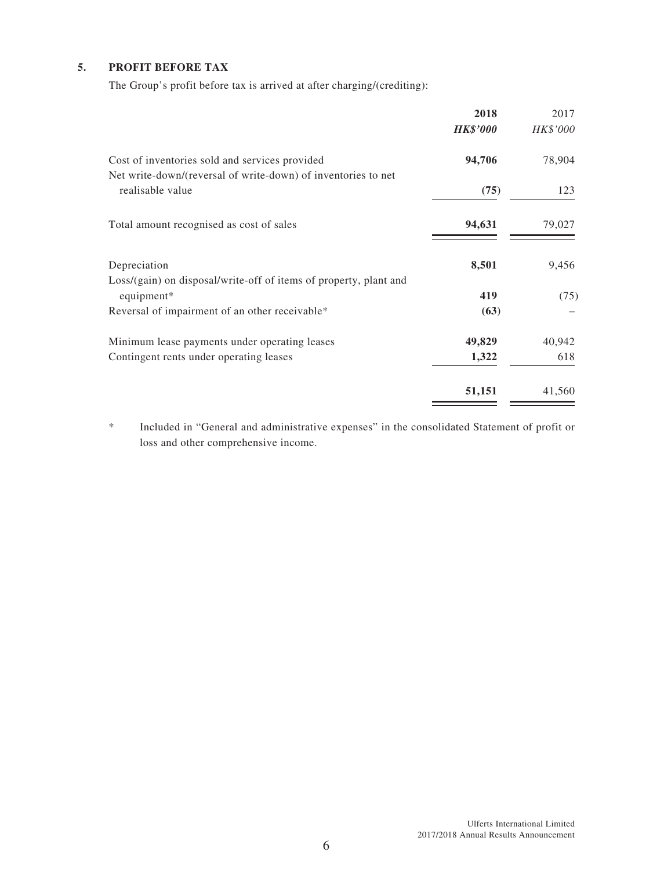#### **5. PROFIT BEFORE TAX**

The Group's profit before tax is arrived at after charging/(crediting):

|                                                                   | 2018            | 2017            |
|-------------------------------------------------------------------|-----------------|-----------------|
|                                                                   | <b>HK\$'000</b> | <i>HK\$'000</i> |
| Cost of inventories sold and services provided                    | 94,706          | 78,904          |
| Net write-down/(reversal of write-down) of inventories to net     |                 |                 |
| realisable value                                                  | (75)            | 123             |
| Total amount recognised as cost of sales                          | 94,631          | 79,027          |
| Depreciation                                                      | 8,501           | 9,456           |
| Loss/(gain) on disposal/write-off of items of property, plant and |                 |                 |
| equipment*                                                        | 419             | (75)            |
| Reversal of impairment of an other receivable*                    | (63)            |                 |
| Minimum lease payments under operating leases                     | 49,829          | 40,942          |
| Contingent rents under operating leases                           | 1,322           | 618             |
|                                                                   | 51,151          | 41,560          |

\* Included in "General and administrative expenses" in the consolidated Statement of profit or loss and other comprehensive income.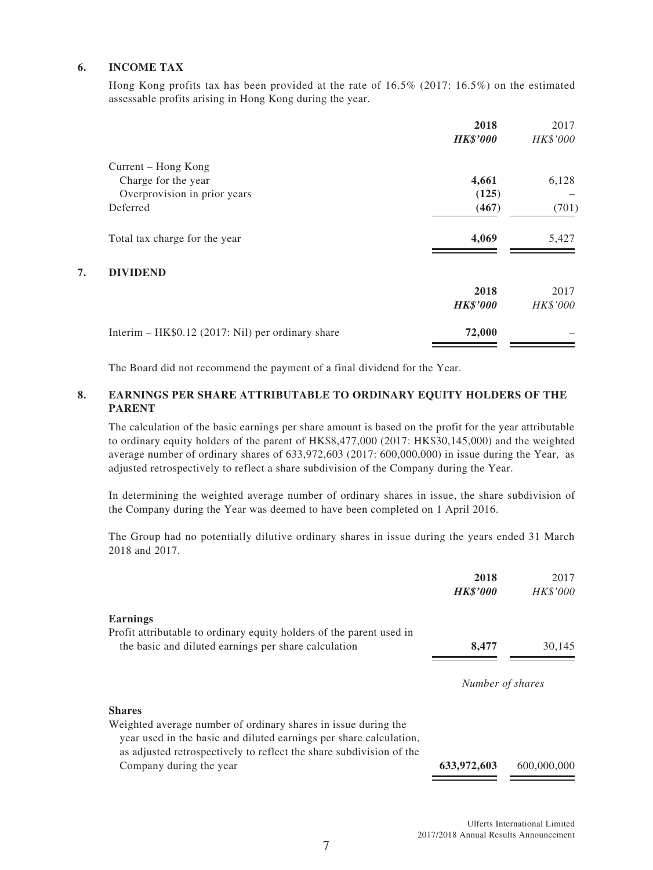#### **6. INCOME TAX**

Hong Kong profits tax has been provided at the rate of 16.5% (2017: 16.5%) on the estimated assessable profits arising in Hong Kong during the year.

|    |                                                   | 2018<br><b>HK\$'000</b> | 2017<br>HK\$'000 |
|----|---------------------------------------------------|-------------------------|------------------|
|    | Current – Hong Kong                               |                         |                  |
|    | Charge for the year                               | 4,661                   | 6,128            |
|    | Overprovision in prior years                      | (125)                   |                  |
|    | Deferred                                          | (467)                   | (701)            |
|    | Total tax charge for the year                     | 4,069                   | 5,427            |
| 7. | <b>DIVIDEND</b>                                   |                         |                  |
|    |                                                   | 2018                    | 2017             |
|    |                                                   | <b>HK\$'000</b>         | HK\$'000         |
|    | Interim – HK\$0.12 (2017: Nil) per ordinary share | 72,000                  |                  |

The Board did not recommend the payment of a final dividend for the Year.

#### **8. EARNINGS PER SHARE ATTRIBUTABLE TO ORDINARY EQUITY HOLDERS OF THE PARENT**

The calculation of the basic earnings per share amount is based on the profit for the year attributable to ordinary equity holders of the parent of HK\$8,477,000 (2017: HK\$30,145,000) and the weighted average number of ordinary shares of 633,972,603 (2017: 600,000,000) in issue during the Year, as adjusted retrospectively to reflect a share subdivision of the Company during the Year.

In determining the weighted average number of ordinary shares in issue, the share subdivision of the Company during the Year was deemed to have been completed on 1 April 2016.

The Group had no potentially dilutive ordinary shares in issue during the years ended 31 March 2018 and 2017.

| 2018<br><b>HK\$'000</b> | 2017<br><i>HK\$'000</i> |
|-------------------------|-------------------------|
|                         |                         |
| 8,477                   | 30,145                  |
|                         |                         |
|                         |                         |
|                         |                         |
| 633,972,603             | 600,000,000             |
|                         | Number of shares        |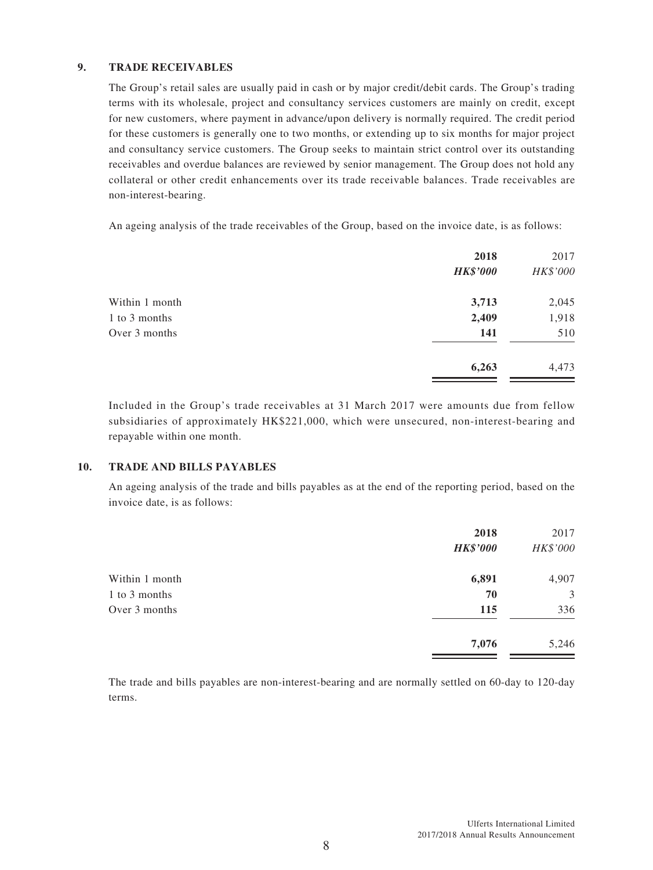#### **9. TRADE RECEIVABLES**

The Group's retail sales are usually paid in cash or by major credit/debit cards. The Group's trading terms with its wholesale, project and consultancy services customers are mainly on credit, except for new customers, where payment in advance/upon delivery is normally required. The credit period for these customers is generally one to two months, or extending up to six months for major project and consultancy service customers. The Group seeks to maintain strict control over its outstanding receivables and overdue balances are reviewed by senior management. The Group does not hold any collateral or other credit enhancements over its trade receivable balances. Trade receivables are non-interest-bearing.

An ageing analysis of the trade receivables of the Group, based on the invoice date, is as follows:

|                | 2018<br><b>HK\$'000</b> | 2017<br>HK\$'000 |
|----------------|-------------------------|------------------|
| Within 1 month | 3,713                   | 2,045            |
| 1 to 3 months  | 2,409                   | 1,918            |
| Over 3 months  | 141                     | 510              |
|                | 6,263                   | 4,473            |
|                |                         |                  |

Included in the Group's trade receivables at 31 March 2017 were amounts due from fellow subsidiaries of approximately HK\$221,000, which were unsecured, non-interest-bearing and repayable within one month.

#### **10. TRADE AND BILLS PAYABLES**

An ageing analysis of the trade and bills payables as at the end of the reporting period, based on the invoice date, is as follows:

|                | 2018            | 2017     |
|----------------|-----------------|----------|
|                | <b>HK\$'000</b> | HK\$'000 |
| Within 1 month | 6,891           | 4,907    |
| 1 to 3 months  | 70              | 3        |
| Over 3 months  | 115             | 336      |
|                | 7,076           | 5,246    |

The trade and bills payables are non-interest-bearing and are normally settled on 60-day to 120-day terms.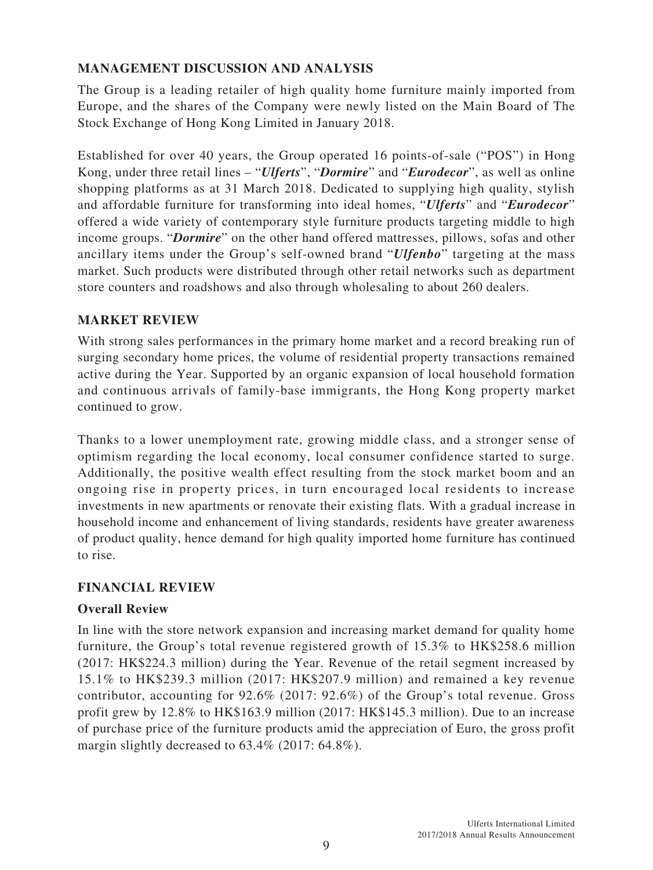# **MANAGEMENT DISCUSSION AND ANALYSIS**

The Group is a leading retailer of high quality home furniture mainly imported from Europe, and the shares of the Company were newly listed on the Main Board of The Stock Exchange of Hong Kong Limited in January 2018.

Established for over 40 years, the Group operated 16 points-of-sale ("POS") in Hong Kong, under three retail lines – "*Ulferts*", "*Dormire*" and "*Eurodecor*", as well as online shopping platforms as at 31 March 2018. Dedicated to supplying high quality, stylish and affordable furniture for transforming into ideal homes, "*Ulferts*" and "*Eurodecor*" offered a wide variety of contemporary style furniture products targeting middle to high income groups. "*Dormire*" on the other hand offered mattresses, pillows, sofas and other ancillary items under the Group's self-owned brand "*Ulfenbo*" targeting at the mass market. Such products were distributed through other retail networks such as department store counters and roadshows and also through wholesaling to about 260 dealers.

# **MARKET REVIEW**

With strong sales performances in the primary home market and a record breaking run of surging secondary home prices, the volume of residential property transactions remained active during the Year. Supported by an organic expansion of local household formation and continuous arrivals of family-base immigrants, the Hong Kong property market continued to grow.

Thanks to a lower unemployment rate, growing middle class, and a stronger sense of optimism regarding the local economy, local consumer confidence started to surge. Additionally, the positive wealth effect resulting from the stock market boom and an ongoing rise in property prices, in turn encouraged local residents to increase investments in new apartments or renovate their existing flats. With a gradual increase in household income and enhancement of living standards, residents have greater awareness of product quality, hence demand for high quality imported home furniture has continued to rise.

### **FINANCIAL REVIEW**

### **Overall Review**

In line with the store network expansion and increasing market demand for quality home furniture, the Group's total revenue registered growth of 15.3% to HK\$258.6 million (2017: HK\$224.3 million) during the Year. Revenue of the retail segment increased by 15.1% to HK\$239.3 million (2017: HK\$207.9 million) and remained a key revenue contributor, accounting for 92.6% (2017: 92.6%) of the Group's total revenue. Gross profit grew by 12.8% to HK\$163.9 million (2017: HK\$145.3 million). Due to an increase of purchase price of the furniture products amid the appreciation of Euro, the gross profit margin slightly decreased to 63.4% (2017: 64.8%).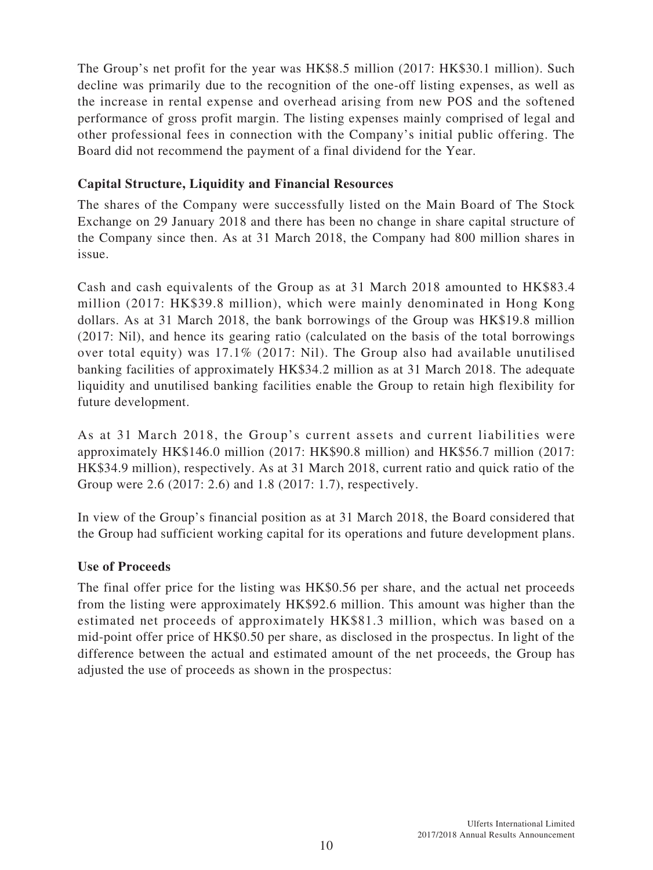The Group's net profit for the year was HK\$8.5 million (2017: HK\$30.1 million). Such decline was primarily due to the recognition of the one-off listing expenses, as well as the increase in rental expense and overhead arising from new POS and the softened performance of gross profit margin. The listing expenses mainly comprised of legal and other professional fees in connection with the Company's initial public offering. The Board did not recommend the payment of a final dividend for the Year.

# **Capital Structure, Liquidity and Financial Resources**

The shares of the Company were successfully listed on the Main Board of The Stock Exchange on 29 January 2018 and there has been no change in share capital structure of the Company since then. As at 31 March 2018, the Company had 800 million shares in issue.

Cash and cash equivalents of the Group as at 31 March 2018 amounted to HK\$83.4 million (2017: HK\$39.8 million), which were mainly denominated in Hong Kong dollars. As at 31 March 2018, the bank borrowings of the Group was HK\$19.8 million (2017: Nil), and hence its gearing ratio (calculated on the basis of the total borrowings over total equity) was 17.1% (2017: Nil). The Group also had available unutilised banking facilities of approximately HK\$34.2 million as at 31 March 2018. The adequate liquidity and unutilised banking facilities enable the Group to retain high flexibility for future development.

As at 31 March 2018, the Group's current assets and current liabilities were approximately HK\$146.0 million (2017: HK\$90.8 million) and HK\$56.7 million (2017: HK\$34.9 million), respectively. As at 31 March 2018, current ratio and quick ratio of the Group were 2.6 (2017: 2.6) and 1.8 (2017: 1.7), respectively.

In view of the Group's financial position as at 31 March 2018, the Board considered that the Group had sufficient working capital for its operations and future development plans.

### **Use of Proceeds**

The final offer price for the listing was HK\$0.56 per share, and the actual net proceeds from the listing were approximately HK\$92.6 million. This amount was higher than the estimated net proceeds of approximately HK\$81.3 million, which was based on a mid-point offer price of HK\$0.50 per share, as disclosed in the prospectus. In light of the difference between the actual and estimated amount of the net proceeds, the Group has adjusted the use of proceeds as shown in the prospectus: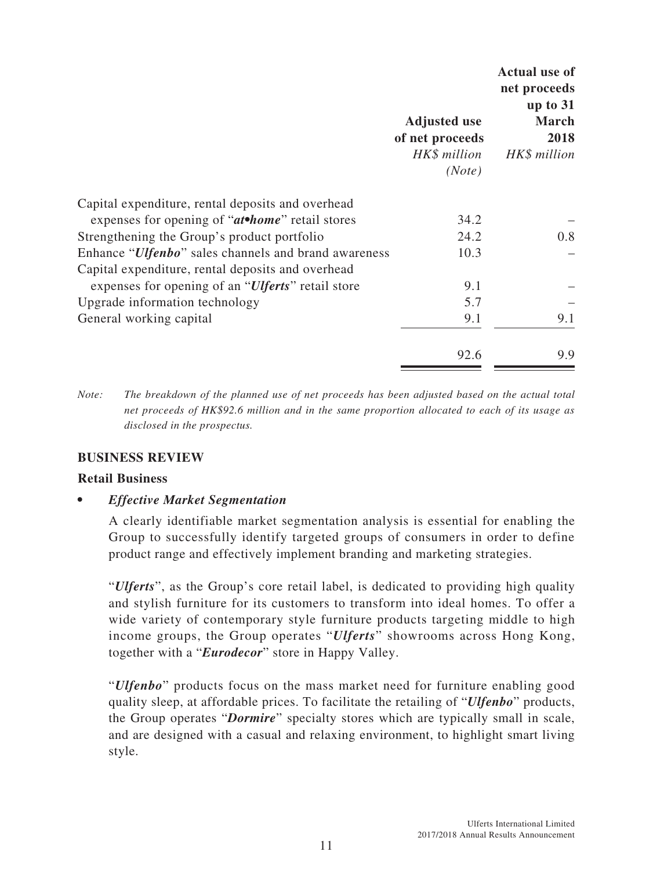|                                                            | <b>Adjusted use</b><br>of net proceeds<br>HK\$ million<br>(Note) | <b>Actual use of</b><br>net proceeds<br>up to $31$<br><b>March</b><br>2018<br>HK\$ million |
|------------------------------------------------------------|------------------------------------------------------------------|--------------------------------------------------------------------------------------------|
| Capital expenditure, rental deposits and overhead          |                                                                  |                                                                                            |
| expenses for opening of "at•home" retail stores            | 34.2                                                             |                                                                                            |
| Strengthening the Group's product portfolio                | 24.2                                                             | 0.8                                                                                        |
| Enhance "Ulfenbo" sales channels and brand awareness       | 10.3                                                             |                                                                                            |
| Capital expenditure, rental deposits and overhead          |                                                                  |                                                                                            |
| expenses for opening of an " <i>Ulferts</i> " retail store | 9.1                                                              |                                                                                            |
| Upgrade information technology                             | 5.7                                                              |                                                                                            |
| General working capital                                    | 9.1                                                              | 9.1                                                                                        |
|                                                            | 92.6                                                             | 9.9                                                                                        |

*Note: The breakdown of the planned use of net proceeds has been adjusted based on the actual total net proceeds of HK\$92.6 million and in the same proportion allocated to each of its usage as disclosed in the prospectus.*

### **BUSINESS REVIEW**

#### **Retail Business**

*• Effective Market Segmentation*

A clearly identifiable market segmentation analysis is essential for enabling the Group to successfully identify targeted groups of consumers in order to define product range and effectively implement branding and marketing strategies.

"*Ulferts*", as the Group's core retail label, is dedicated to providing high quality and stylish furniture for its customers to transform into ideal homes. To offer a wide variety of contemporary style furniture products targeting middle to high income groups, the Group operates "*Ulferts*" showrooms across Hong Kong, together with a "*Eurodecor*" store in Happy Valley.

"*Ulfenbo*" products focus on the mass market need for furniture enabling good quality sleep, at affordable prices. To facilitate the retailing of "*Ulfenbo*" products, the Group operates "*Dormire*" specialty stores which are typically small in scale, and are designed with a casual and relaxing environment, to highlight smart living style.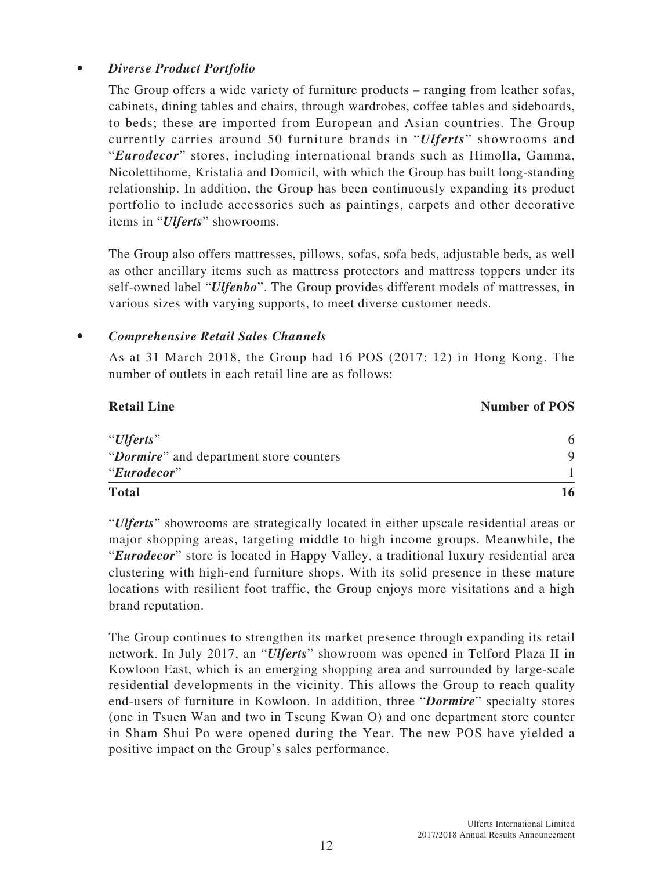# *• Diverse Product Portfolio*

The Group offers a wide variety of furniture products – ranging from leather sofas, cabinets, dining tables and chairs, through wardrobes, coffee tables and sideboards, to beds; these are imported from European and Asian countries. The Group currently carries around 50 furniture brands in "*Ulferts*" showrooms and "*Eurodecor*" stores, including international brands such as Himolla, Gamma, Nicolettihome, Kristalia and Domicil, with which the Group has built long-standing relationship. In addition, the Group has been continuously expanding its product portfolio to include accessories such as paintings, carpets and other decorative items in "*Ulferts*" showrooms.

The Group also offers mattresses, pillows, sofas, sofa beds, adjustable beds, as well as other ancillary items such as mattress protectors and mattress toppers under its self-owned label "*Ulfenbo*". The Group provides different models of mattresses, in various sizes with varying supports, to meet diverse customer needs.

# *• Comprehensive Retail Sales Channels*

As at 31 March 2018, the Group had 16 POS (2017: 12) in Hong Kong. The number of outlets in each retail line are as follows:

# **Retail Line Number of POS** "*Ulferts*" 6 "*Dormire*" and department store counters 9 "*Eurodecor*" 1 **Total 16**

"*Ulferts*" showrooms are strategically located in either upscale residential areas or major shopping areas, targeting middle to high income groups. Meanwhile, the "*Eurodecor*" store is located in Happy Valley, a traditional luxury residential area clustering with high-end furniture shops. With its solid presence in these mature locations with resilient foot traffic, the Group enjoys more visitations and a high brand reputation.

The Group continues to strengthen its market presence through expanding its retail network. In July 2017, an "*Ulferts*" showroom was opened in Telford Plaza II in Kowloon East, which is an emerging shopping area and surrounded by large-scale residential developments in the vicinity. This allows the Group to reach quality end-users of furniture in Kowloon. In addition, three "*Dormire*" specialty stores (one in Tsuen Wan and two in Tseung Kwan O) and one department store counter in Sham Shui Po were opened during the Year. The new POS have yielded a positive impact on the Group's sales performance.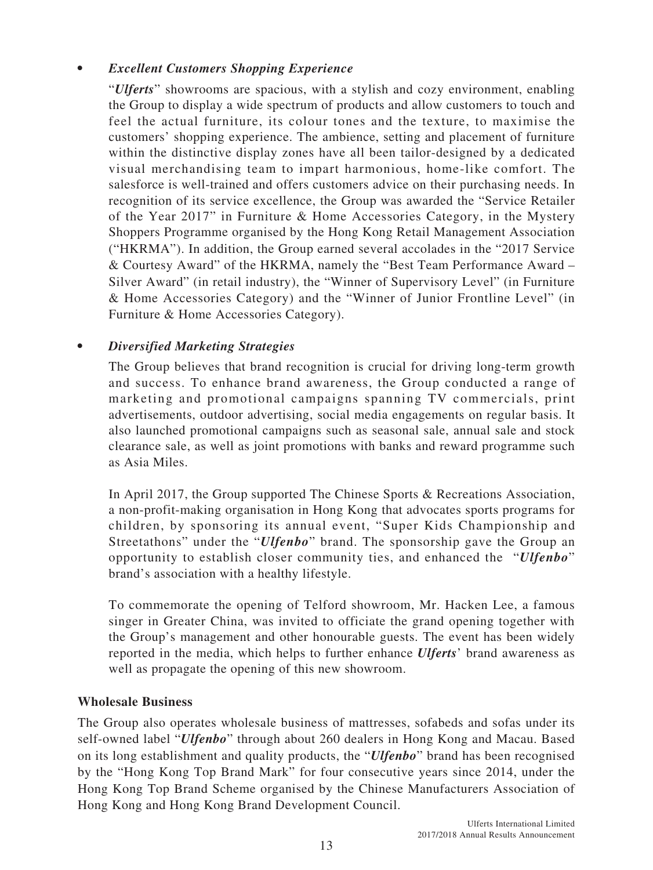# *• Excellent Customers Shopping Experience*

"*Ulferts*" showrooms are spacious, with a stylish and cozy environment, enabling the Group to display a wide spectrum of products and allow customers to touch and feel the actual furniture, its colour tones and the texture, to maximise the customers' shopping experience. The ambience, setting and placement of furniture within the distinctive display zones have all been tailor-designed by a dedicated visual merchandising team to impart harmonious, home-like comfort. The salesforce is well-trained and offers customers advice on their purchasing needs. In recognition of its service excellence, the Group was awarded the "Service Retailer of the Year 2017" in Furniture & Home Accessories Category, in the Mystery Shoppers Programme organised by the Hong Kong Retail Management Association ("HKRMA"). In addition, the Group earned several accolades in the "2017 Service & Courtesy Award" of the HKRMA, namely the "Best Team Performance Award – Silver Award" (in retail industry), the "Winner of Supervisory Level" (in Furniture & Home Accessories Category) and the "Winner of Junior Frontline Level" (in Furniture & Home Accessories Category).

### *• Diversified Marketing Strategies*

The Group believes that brand recognition is crucial for driving long-term growth and success. To enhance brand awareness, the Group conducted a range of marketing and promotional campaigns spanning TV commercials, print advertisements, outdoor advertising, social media engagements on regular basis. It also launched promotional campaigns such as seasonal sale, annual sale and stock clearance sale, as well as joint promotions with banks and reward programme such as Asia Miles.

In April 2017, the Group supported The Chinese Sports & Recreations Association, a non-profit-making organisation in Hong Kong that advocates sports programs for children, by sponsoring its annual event, "Super Kids Championship and Streetathons" under the "*Ulfenbo*" brand. The sponsorship gave the Group an opportunity to establish closer community ties, and enhanced the "*Ulfenbo*" brand's association with a healthy lifestyle.

To commemorate the opening of Telford showroom, Mr. Hacken Lee, a famous singer in Greater China, was invited to officiate the grand opening together with the Group's management and other honourable guests. The event has been widely reported in the media, which helps to further enhance *Ulferts*' brand awareness as well as propagate the opening of this new showroom.

### **Wholesale Business**

The Group also operates wholesale business of mattresses, sofabeds and sofas under its self-owned label "*Ulfenbo*" through about 260 dealers in Hong Kong and Macau. Based on its long establishment and quality products, the "*Ulfenbo*" brand has been recognised by the "Hong Kong Top Brand Mark" for four consecutive years since 2014, under the Hong Kong Top Brand Scheme organised by the Chinese Manufacturers Association of Hong Kong and Hong Kong Brand Development Council.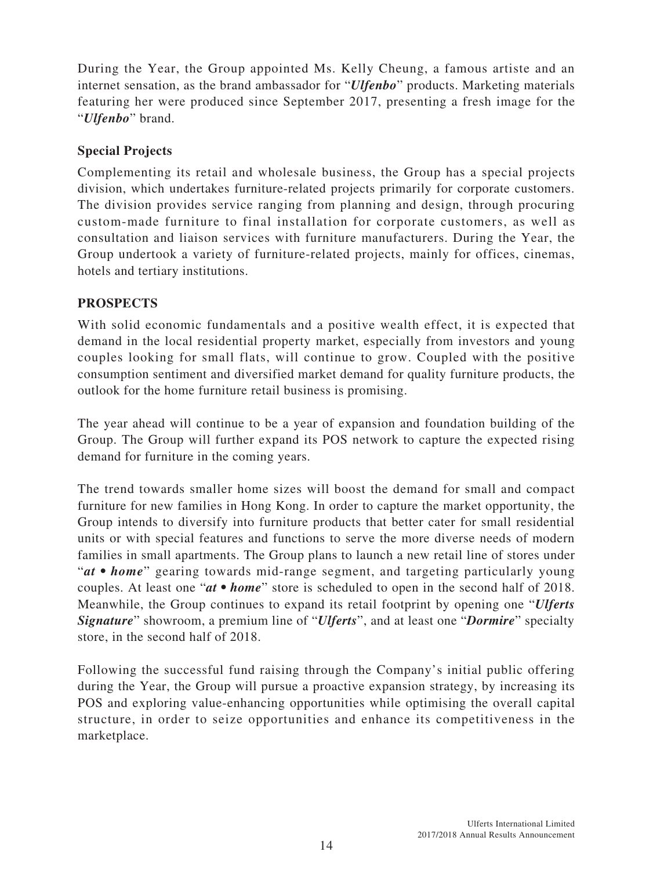During the Year, the Group appointed Ms. Kelly Cheung, a famous artiste and an internet sensation, as the brand ambassador for "*Ulfenbo*" products. Marketing materials featuring her were produced since September 2017, presenting a fresh image for the "*Ulfenbo*" brand.

# **Special Projects**

Complementing its retail and wholesale business, the Group has a special projects division, which undertakes furniture-related projects primarily for corporate customers. The division provides service ranging from planning and design, through procuring custom-made furniture to final installation for corporate customers, as well as consultation and liaison services with furniture manufacturers. During the Year, the Group undertook a variety of furniture-related projects, mainly for offices, cinemas, hotels and tertiary institutions.

# **PROSPECTS**

With solid economic fundamentals and a positive wealth effect, it is expected that demand in the local residential property market, especially from investors and young couples looking for small flats, will continue to grow. Coupled with the positive consumption sentiment and diversified market demand for quality furniture products, the outlook for the home furniture retail business is promising.

The year ahead will continue to be a year of expansion and foundation building of the Group. The Group will further expand its POS network to capture the expected rising demand for furniture in the coming years.

The trend towards smaller home sizes will boost the demand for small and compact furniture for new families in Hong Kong. In order to capture the market opportunity, the Group intends to diversify into furniture products that better cater for small residential units or with special features and functions to serve the more diverse needs of modern families in small apartments. The Group plans to launch a new retail line of stores under "*at • home*" gearing towards mid-range segment, and targeting particularly young couples. At least one "*at • home*" store is scheduled to open in the second half of 2018. Meanwhile, the Group continues to expand its retail footprint by opening one "*Ulferts Signature*" showroom, a premium line of "*Ulferts*", and at least one "*Dormire*" specialty store, in the second half of 2018.

Following the successful fund raising through the Company's initial public offering during the Year, the Group will pursue a proactive expansion strategy, by increasing its POS and exploring value-enhancing opportunities while optimising the overall capital structure, in order to seize opportunities and enhance its competitiveness in the marketplace.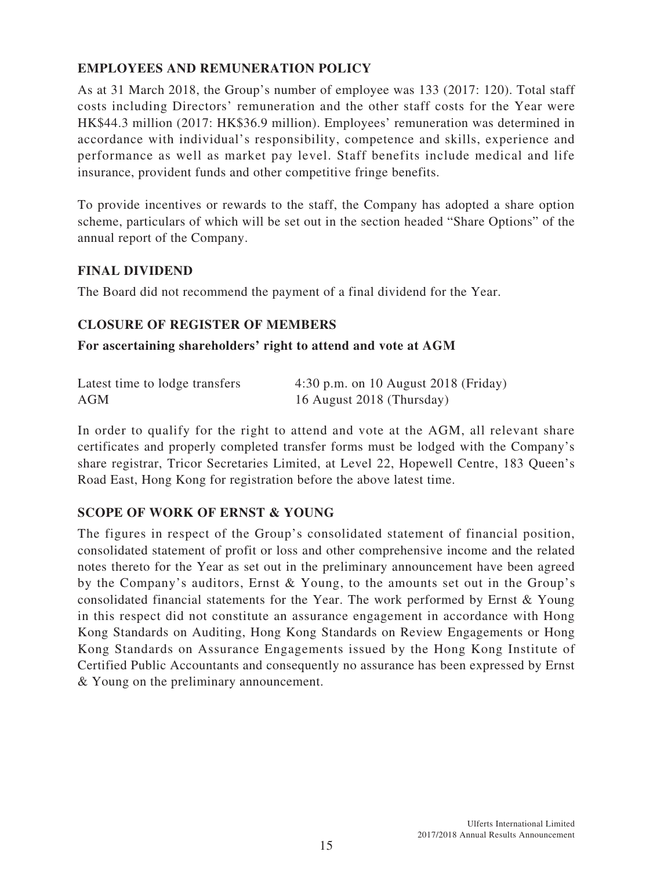# **EMPLOYEES AND REMUNERATION POLICY**

As at 31 March 2018, the Group's number of employee was 133 (2017: 120). Total staff costs including Directors' remuneration and the other staff costs for the Year were HK\$44.3 million (2017: HK\$36.9 million). Employees' remuneration was determined in accordance with individual's responsibility, competence and skills, experience and performance as well as market pay level. Staff benefits include medical and life insurance, provident funds and other competitive fringe benefits.

To provide incentives or rewards to the staff, the Company has adopted a share option scheme, particulars of which will be set out in the section headed "Share Options" of the annual report of the Company.

### **FINAL DIVIDEND**

The Board did not recommend the payment of a final dividend for the Year.

# **CLOSURE OF REGISTER OF MEMBERS**

### **For ascertaining shareholders' right to attend and vote at AGM**

| Latest time to lodge transfers | $4:30$ p.m. on 10 August 2018 (Friday) |
|--------------------------------|----------------------------------------|
| AGM                            | 16 August 2018 (Thursday)              |

In order to qualify for the right to attend and vote at the AGM, all relevant share certificates and properly completed transfer forms must be lodged with the Company's share registrar, Tricor Secretaries Limited, at Level 22, Hopewell Centre, 183 Queen's Road East, Hong Kong for registration before the above latest time.

### **SCOPE OF WORK OF ERNST & YOUNG**

The figures in respect of the Group's consolidated statement of financial position, consolidated statement of profit or loss and other comprehensive income and the related notes thereto for the Year as set out in the preliminary announcement have been agreed by the Company's auditors, Ernst & Young, to the amounts set out in the Group's consolidated financial statements for the Year. The work performed by Ernst & Young in this respect did not constitute an assurance engagement in accordance with Hong Kong Standards on Auditing, Hong Kong Standards on Review Engagements or Hong Kong Standards on Assurance Engagements issued by the Hong Kong Institute of Certified Public Accountants and consequently no assurance has been expressed by Ernst & Young on the preliminary announcement.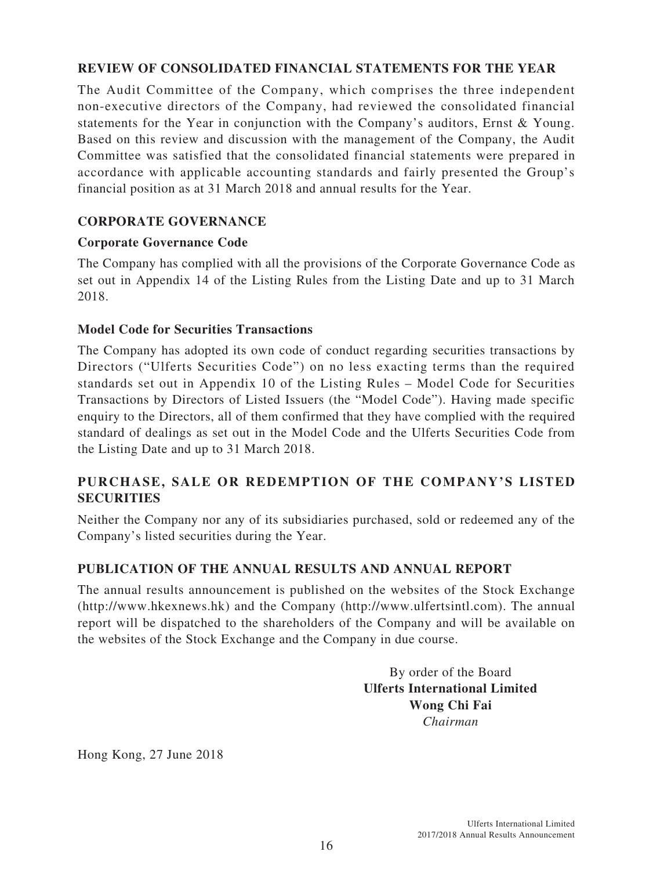# **REVIEW OF CONSOLIDATED FINANCIAL STATEMENTS FOR THE YEAR**

The Audit Committee of the Company, which comprises the three independent non-executive directors of the Company, had reviewed the consolidated financial statements for the Year in conjunction with the Company's auditors, Ernst & Young. Based on this review and discussion with the management of the Company, the Audit Committee was satisfied that the consolidated financial statements were prepared in accordance with applicable accounting standards and fairly presented the Group's financial position as at 31 March 2018 and annual results for the Year.

# **CORPORATE GOVERNANCE**

### **Corporate Governance Code**

The Company has complied with all the provisions of the Corporate Governance Code as set out in Appendix 14 of the Listing Rules from the Listing Date and up to 31 March 2018.

### **Model Code for Securities Transactions**

The Company has adopted its own code of conduct regarding securities transactions by Directors ("Ulferts Securities Code") on no less exacting terms than the required standards set out in Appendix 10 of the Listing Rules – Model Code for Securities Transactions by Directors of Listed Issuers (the "Model Code"). Having made specific enquiry to the Directors, all of them confirmed that they have complied with the required standard of dealings as set out in the Model Code and the Ulferts Securities Code from the Listing Date and up to 31 March 2018.

# **PURCHASE, SALE OR REDEMPTION OF THE COMPANY'S LISTED SECURITIES**

Neither the Company nor any of its subsidiaries purchased, sold or redeemed any of the Company's listed securities during the Year.

### **PUBLICATION OF THE ANNUAL RESULTS AND ANNUAL REPORT**

The annual results announcement is published on the websites of the Stock Exchange (http://www.hkexnews.hk) and the Company (http://www.ulfertsintl.com). The annual report will be dispatched to the shareholders of the Company and will be available on the websites of the Stock Exchange and the Company in due course.

> By order of the Board **Ulferts International Limited Wong Chi Fai** *Chairman*

Hong Kong, 27 June 2018